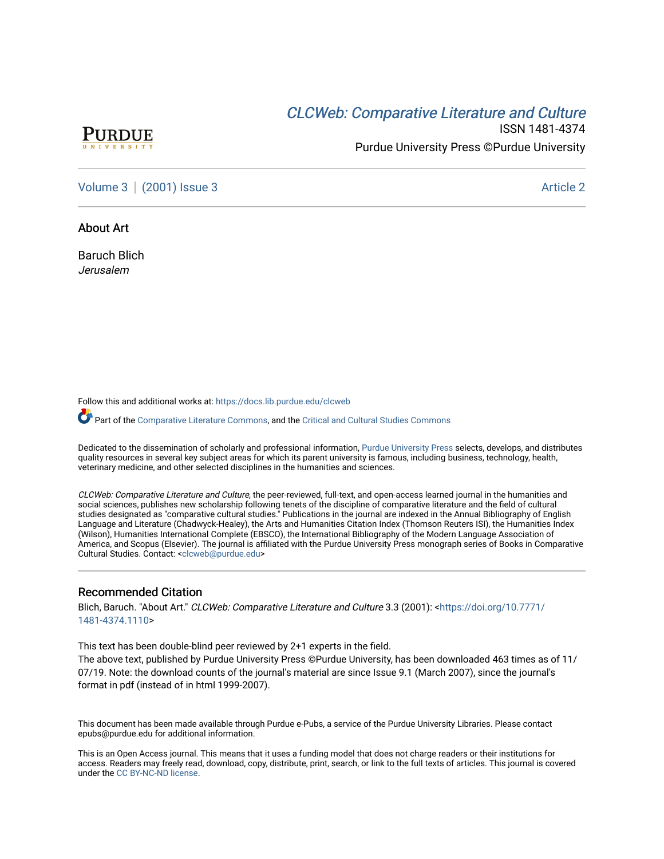# CLCW[eb: Comparative Liter](https://docs.lib.purdue.edu/clcweb)ature and Culture



ISSN 1481-4374 Purdue University Press ©Purdue University

[Volume 3](https://docs.lib.purdue.edu/clcweb/vol3) | [\(2001\) Issue 3](https://docs.lib.purdue.edu/clcweb/vol3/iss3) Article 2

## About Art

Baruch Blich Jerusalem

Follow this and additional works at: [https://docs.lib.purdue.edu/clcweb](https://docs.lib.purdue.edu/clcweb?utm_source=docs.lib.purdue.edu%2Fclcweb%2Fvol3%2Fiss3%2F2&utm_medium=PDF&utm_campaign=PDFCoverPages)

Part of the [Comparative Literature Commons,](http://network.bepress.com/hgg/discipline/454?utm_source=docs.lib.purdue.edu%2Fclcweb%2Fvol3%2Fiss3%2F2&utm_medium=PDF&utm_campaign=PDFCoverPages) and the [Critical and Cultural Studies Commons](http://network.bepress.com/hgg/discipline/328?utm_source=docs.lib.purdue.edu%2Fclcweb%2Fvol3%2Fiss3%2F2&utm_medium=PDF&utm_campaign=PDFCoverPages) 

Dedicated to the dissemination of scholarly and professional information, [Purdue University Press](http://www.thepress.purdue.edu/) selects, develops, and distributes quality resources in several key subject areas for which its parent university is famous, including business, technology, health, veterinary medicine, and other selected disciplines in the humanities and sciences.

CLCWeb: Comparative Literature and Culture, the peer-reviewed, full-text, and open-access learned journal in the humanities and social sciences, publishes new scholarship following tenets of the discipline of comparative literature and the field of cultural studies designated as "comparative cultural studies." Publications in the journal are indexed in the Annual Bibliography of English Language and Literature (Chadwyck-Healey), the Arts and Humanities Citation Index (Thomson Reuters ISI), the Humanities Index (Wilson), Humanities International Complete (EBSCO), the International Bibliography of the Modern Language Association of America, and Scopus (Elsevier). The journal is affiliated with the Purdue University Press monograph series of Books in Comparative Cultural Studies. Contact: [<clcweb@purdue.edu](mailto:clcweb@purdue.edu)>

## Recommended Citation

Blich, Baruch. "About Art." CLCWeb: Comparative Literature and Culture 3.3 (2001): <[https://doi.org/10.7771/](https://doi.org/10.7771/1481-4374.1110) [1481-4374.1110](https://doi.org/10.7771/1481-4374.1110)>

This text has been double-blind peer reviewed by 2+1 experts in the field.

The above text, published by Purdue University Press ©Purdue University, has been downloaded 463 times as of 11/ 07/19. Note: the download counts of the journal's material are since Issue 9.1 (March 2007), since the journal's format in pdf (instead of in html 1999-2007).

This document has been made available through Purdue e-Pubs, a service of the Purdue University Libraries. Please contact epubs@purdue.edu for additional information.

This is an Open Access journal. This means that it uses a funding model that does not charge readers or their institutions for access. Readers may freely read, download, copy, distribute, print, search, or link to the full texts of articles. This journal is covered under the [CC BY-NC-ND license.](https://creativecommons.org/licenses/by-nc-nd/4.0/)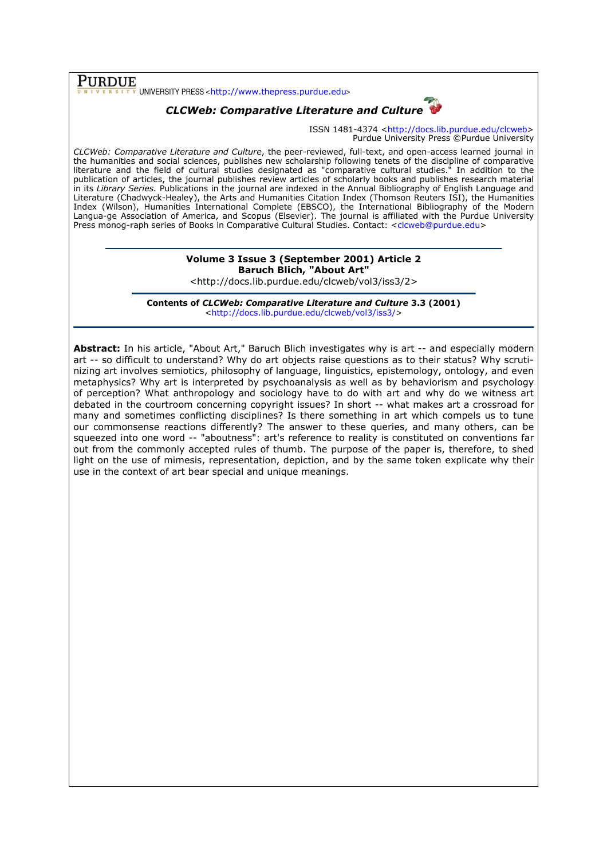$\overline{\text{PURDUE}}_{\frac{v}{v} \text{ NIV E R S I T V}}$ UNIVERSITY PRESS <http://www.thepress.purdue.edu>

## CLCWeb: Comparative Literature and Culture

ISSN 1481-4374 <http://docs.lib.purdue.edu/clcweb> Purdue University Press ©Purdue University

CLCWeb: Comparative Literature and Culture, the peer-reviewed, full-text, and open-access learned journal in the humanities and social sciences, publishes new scholarship following tenets of the discipline of comparative literature and the field of cultural studies designated as "comparative cultural studies." In addition to the publication of articles, the journal publishes review articles of scholarly books and publishes research material in its Library Series. Publications in the journal are indexed in the Annual Bibliography of English Language and Literature (Chadwyck-Healey), the Arts and Humanities Citation Index (Thomson Reuters ISI), the Humanities Index (Wilson), Humanities International Complete (EBSCO), the International Bibliography of the Modern Langua-ge Association of America, and Scopus (Elsevier). The journal is affiliated with the Purdue University Press monog-raph series of Books in Comparative Cultural Studies. Contact: <clcweb@purdue.edu>

## Volume 3 Issue 3 (September 2001) Article 2 Baruch Blich, "About Art"

<http://docs.lib.purdue.edu/clcweb/vol3/iss3/2>

Contents of CLCWeb: Comparative Literature and Culture 3.3 (2001) <http://docs.lib.purdue.edu/clcweb/vol3/iss3/>

Abstract: In his article, "About Art," Baruch Blich investigates why is art -- and especially modern art -- so difficult to understand? Why do art objects raise questions as to their status? Why scrutinizing art involves semiotics, philosophy of language, linguistics, epistemology, ontology, and even metaphysics? Why art is interpreted by psychoanalysis as well as by behaviorism and psychology of perception? What anthropology and sociology have to do with art and why do we witness art debated in the courtroom concerning copyright issues? In short -- what makes art a crossroad for many and sometimes conflicting disciplines? Is there something in art which compels us to tune our commonsense reactions differently? The answer to these queries, and many others, can be squeezed into one word -- "aboutness": art's reference to reality is constituted on conventions far out from the commonly accepted rules of thumb. The purpose of the paper is, therefore, to shed light on the use of mimesis, representation, depiction, and by the same token explicate why their use in the context of art bear special and unique meanings.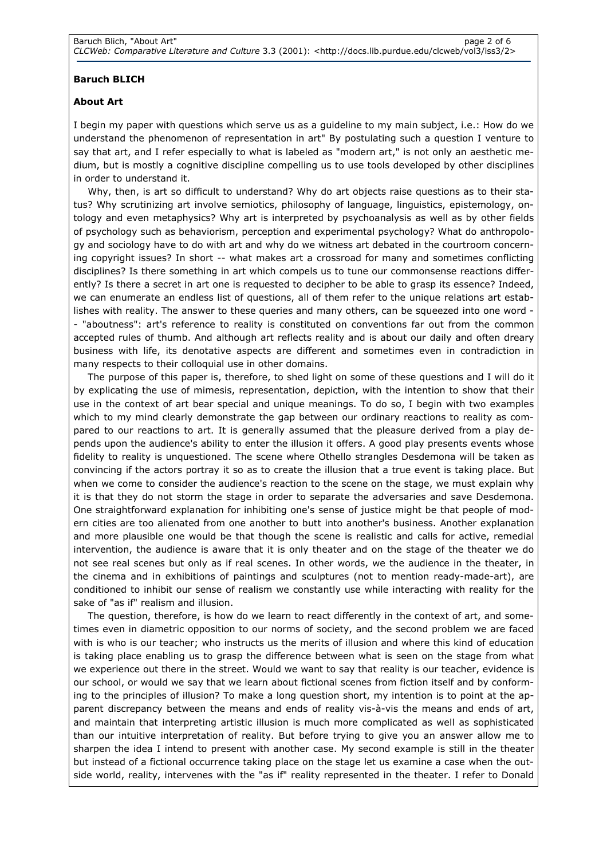## Baruch BLICH

## About Art

I begin my paper with questions which serve us as a guideline to my main subject, i.e.: How do we understand the phenomenon of representation in art" By postulating such a question I venture to say that art, and I refer especially to what is labeled as "modern art," is not only an aesthetic medium, but is mostly a cognitive discipline compelling us to use tools developed by other disciplines in order to understand it.

Why, then, is art so difficult to understand? Why do art objects raise questions as to their status? Why scrutinizing art involve semiotics, philosophy of language, linguistics, epistemology, ontology and even metaphysics? Why art is interpreted by psychoanalysis as well as by other fields of psychology such as behaviorism, perception and experimental psychology? What do anthropology and sociology have to do with art and why do we witness art debated in the courtroom concerning copyright issues? In short -- what makes art a crossroad for many and sometimes conflicting disciplines? Is there something in art which compels us to tune our commonsense reactions differently? Is there a secret in art one is requested to decipher to be able to grasp its essence? Indeed, we can enumerate an endless list of questions, all of them refer to the unique relations art establishes with reality. The answer to these queries and many others, can be squeezed into one word - - "aboutness": art's reference to reality is constituted on conventions far out from the common accepted rules of thumb. And although art reflects reality and is about our daily and often dreary business with life, its denotative aspects are different and sometimes even in contradiction in many respects to their colloquial use in other domains.

The purpose of this paper is, therefore, to shed light on some of these questions and I will do it by explicating the use of mimesis, representation, depiction, with the intention to show that their use in the context of art bear special and unique meanings. To do so, I begin with two examples which to my mind clearly demonstrate the gap between our ordinary reactions to reality as compared to our reactions to art. It is generally assumed that the pleasure derived from a play depends upon the audience's ability to enter the illusion it offers. A good play presents events whose fidelity to reality is unquestioned. The scene where Othello strangles Desdemona will be taken as convincing if the actors portray it so as to create the illusion that a true event is taking place. But when we come to consider the audience's reaction to the scene on the stage, we must explain why it is that they do not storm the stage in order to separate the adversaries and save Desdemona. One straightforward explanation for inhibiting one's sense of justice might be that people of modern cities are too alienated from one another to butt into another's business. Another explanation and more plausible one would be that though the scene is realistic and calls for active, remedial intervention, the audience is aware that it is only theater and on the stage of the theater we do not see real scenes but only as if real scenes. In other words, we the audience in the theater, in the cinema and in exhibitions of paintings and sculptures (not to mention ready-made-art), are conditioned to inhibit our sense of realism we constantly use while interacting with reality for the sake of "as if" realism and illusion.

The question, therefore, is how do we learn to react differently in the context of art, and sometimes even in diametric opposition to our norms of society, and the second problem we are faced with is who is our teacher; who instructs us the merits of illusion and where this kind of education is taking place enabling us to grasp the difference between what is seen on the stage from what we experience out there in the street. Would we want to say that reality is our teacher, evidence is our school, or would we say that we learn about fictional scenes from fiction itself and by conforming to the principles of illusion? To make a long question short, my intention is to point at the apparent discrepancy between the means and ends of reality vis-à-vis the means and ends of art, and maintain that interpreting artistic illusion is much more complicated as well as sophisticated than our intuitive interpretation of reality. But before trying to give you an answer allow me to sharpen the idea I intend to present with another case. My second example is still in the theater but instead of a fictional occurrence taking place on the stage let us examine a case when the outside world, reality, intervenes with the "as if" reality represented in the theater. I refer to Donald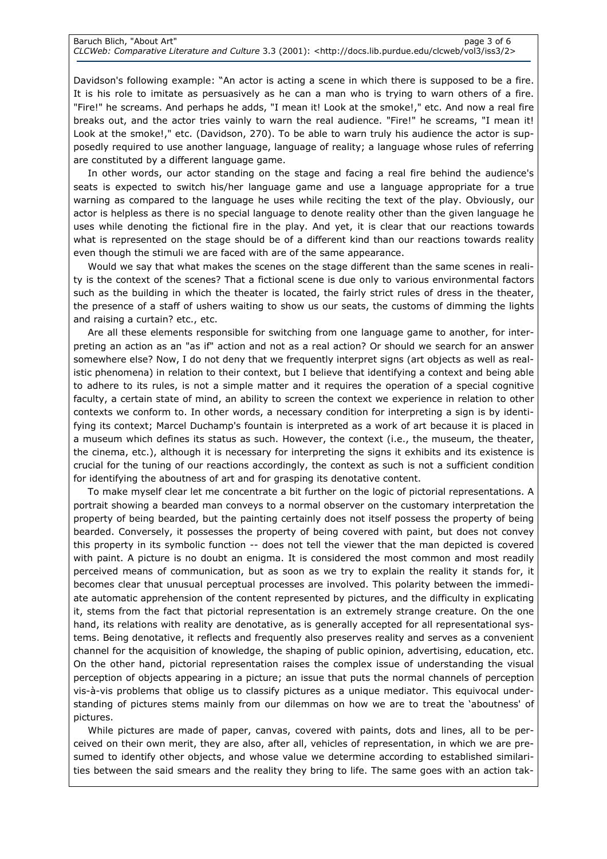Davidson's following example: "An actor is acting a scene in which there is supposed to be a fire. It is his role to imitate as persuasively as he can a man who is trying to warn others of a fire. "Fire!" he screams. And perhaps he adds, "I mean it! Look at the smoke!," etc. And now a real fire breaks out, and the actor tries vainly to warn the real audience. "Fire!" he screams, "I mean it! Look at the smoke!," etc. (Davidson, 270). To be able to warn truly his audience the actor is supposedly required to use another language, language of reality; a language whose rules of referring are constituted by a different language game.

In other words, our actor standing on the stage and facing a real fire behind the audience's seats is expected to switch his/her language game and use a language appropriate for a true warning as compared to the language he uses while reciting the text of the play. Obviously, our actor is helpless as there is no special language to denote reality other than the given language he uses while denoting the fictional fire in the play. And yet, it is clear that our reactions towards what is represented on the stage should be of a different kind than our reactions towards reality even though the stimuli we are faced with are of the same appearance.

Would we say that what makes the scenes on the stage different than the same scenes in reality is the context of the scenes? That a fictional scene is due only to various environmental factors such as the building in which the theater is located, the fairly strict rules of dress in the theater, the presence of a staff of ushers waiting to show us our seats, the customs of dimming the lights and raising a curtain? etc., etc.

Are all these elements responsible for switching from one language game to another, for interpreting an action as an "as if" action and not as a real action? Or should we search for an answer somewhere else? Now, I do not deny that we frequently interpret signs (art objects as well as realistic phenomena) in relation to their context, but I believe that identifying a context and being able to adhere to its rules, is not a simple matter and it requires the operation of a special cognitive faculty, a certain state of mind, an ability to screen the context we experience in relation to other contexts we conform to. In other words, a necessary condition for interpreting a sign is by identifying its context; Marcel Duchamp's fountain is interpreted as a work of art because it is placed in a museum which defines its status as such. However, the context (i.e., the museum, the theater, the cinema, etc.), although it is necessary for interpreting the signs it exhibits and its existence is crucial for the tuning of our reactions accordingly, the context as such is not a sufficient condition for identifying the aboutness of art and for grasping its denotative content.

To make myself clear let me concentrate a bit further on the logic of pictorial representations. A portrait showing a bearded man conveys to a normal observer on the customary interpretation the property of being bearded, but the painting certainly does not itself possess the property of being bearded. Conversely, it possesses the property of being covered with paint, but does not convey this property in its symbolic function -- does not tell the viewer that the man depicted is covered with paint. A picture is no doubt an enigma. It is considered the most common and most readily perceived means of communication, but as soon as we try to explain the reality it stands for, it becomes clear that unusual perceptual processes are involved. This polarity between the immediate automatic apprehension of the content represented by pictures, and the difficulty in explicating it, stems from the fact that pictorial representation is an extremely strange creature. On the one hand, its relations with reality are denotative, as is generally accepted for all representational systems. Being denotative, it reflects and frequently also preserves reality and serves as a convenient channel for the acquisition of knowledge, the shaping of public opinion, advertising, education, etc. On the other hand, pictorial representation raises the complex issue of understanding the visual perception of objects appearing in a picture; an issue that puts the normal channels of perception vis-à-vis problems that oblige us to classify pictures as a unique mediator. This equivocal understanding of pictures stems mainly from our dilemmas on how we are to treat the 'aboutness' of pictures.

While pictures are made of paper, canvas, covered with paints, dots and lines, all to be perceived on their own merit, they are also, after all, vehicles of representation, in which we are presumed to identify other objects, and whose value we determine according to established similarities between the said smears and the reality they bring to life. The same goes with an action tak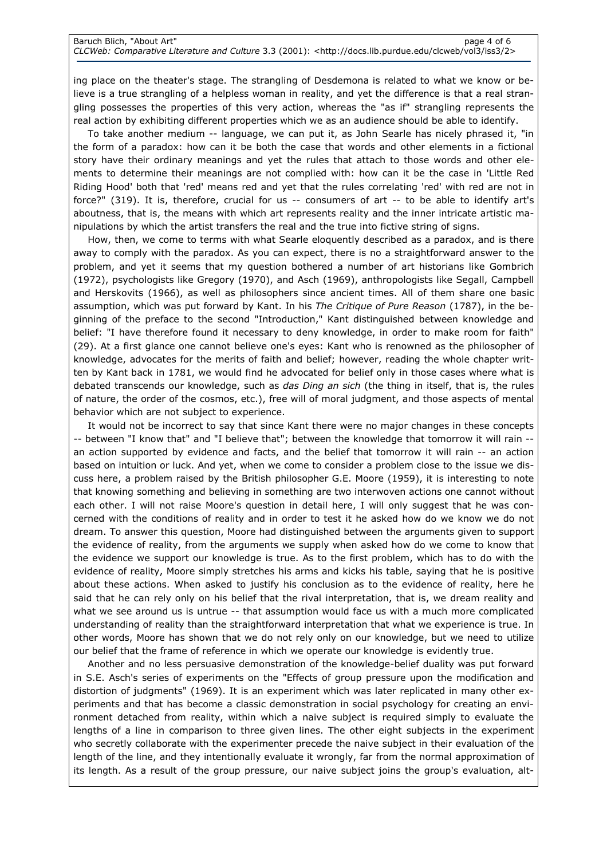ing place on the theater's stage. The strangling of Desdemona is related to what we know or believe is a true strangling of a helpless woman in reality, and yet the difference is that a real strangling possesses the properties of this very action, whereas the "as if" strangling represents the real action by exhibiting different properties which we as an audience should be able to identify.

To take another medium -- language, we can put it, as John Searle has nicely phrased it, "in the form of a paradox: how can it be both the case that words and other elements in a fictional story have their ordinary meanings and yet the rules that attach to those words and other elements to determine their meanings are not complied with: how can it be the case in 'Little Red Riding Hood' both that 'red' means red and yet that the rules correlating 'red' with red are not in force?" (319). It is, therefore, crucial for us -- consumers of art -- to be able to identify art's aboutness, that is, the means with which art represents reality and the inner intricate artistic manipulations by which the artist transfers the real and the true into fictive string of signs.

How, then, we come to terms with what Searle eloquently described as a paradox, and is there away to comply with the paradox. As you can expect, there is no a straightforward answer to the problem, and yet it seems that my question bothered a number of art historians like Gombrich (1972), psychologists like Gregory (1970), and Asch (1969), anthropologists like Segall, Campbell and Herskovits (1966), as well as philosophers since ancient times. All of them share one basic assumption, which was put forward by Kant. In his The Critique of Pure Reason (1787), in the beginning of the preface to the second "Introduction," Kant distinguished between knowledge and belief: "I have therefore found it necessary to deny knowledge, in order to make room for faith" (29). At a first glance one cannot believe one's eyes: Kant who is renowned as the philosopher of knowledge, advocates for the merits of faith and belief; however, reading the whole chapter written by Kant back in 1781, we would find he advocated for belief only in those cases where what is debated transcends our knowledge, such as *das Ding an sich* (the thing in itself, that is, the rules of nature, the order of the cosmos, etc.), free will of moral judgment, and those aspects of mental behavior which are not subject to experience.

It would not be incorrect to say that since Kant there were no major changes in these concepts -- between "I know that" and "I believe that"; between the knowledge that tomorrow it will rain - an action supported by evidence and facts, and the belief that tomorrow it will rain -- an action based on intuition or luck. And yet, when we come to consider a problem close to the issue we discuss here, a problem raised by the British philosopher G.E. Moore (1959), it is interesting to note that knowing something and believing in something are two interwoven actions one cannot without each other. I will not raise Moore's question in detail here, I will only suggest that he was concerned with the conditions of reality and in order to test it he asked how do we know we do not dream. To answer this question, Moore had distinguished between the arguments given to support the evidence of reality, from the arguments we supply when asked how do we come to know that the evidence we support our knowledge is true. As to the first problem, which has to do with the evidence of reality, Moore simply stretches his arms and kicks his table, saying that he is positive about these actions. When asked to justify his conclusion as to the evidence of reality, here he said that he can rely only on his belief that the rival interpretation, that is, we dream reality and what we see around us is untrue -- that assumption would face us with a much more complicated understanding of reality than the straightforward interpretation that what we experience is true. In other words, Moore has shown that we do not rely only on our knowledge, but we need to utilize our belief that the frame of reference in which we operate our knowledge is evidently true.

Another and no less persuasive demonstration of the knowledge-belief duality was put forward in S.E. Asch's series of experiments on the "Effects of group pressure upon the modification and distortion of judgments" (1969). It is an experiment which was later replicated in many other experiments and that has become a classic demonstration in social psychology for creating an environment detached from reality, within which a naive subject is required simply to evaluate the lengths of a line in comparison to three given lines. The other eight subjects in the experiment who secretly collaborate with the experimenter precede the naive subject in their evaluation of the length of the line, and they intentionally evaluate it wrongly, far from the normal approximation of its length. As a result of the group pressure, our naive subject joins the group's evaluation, alt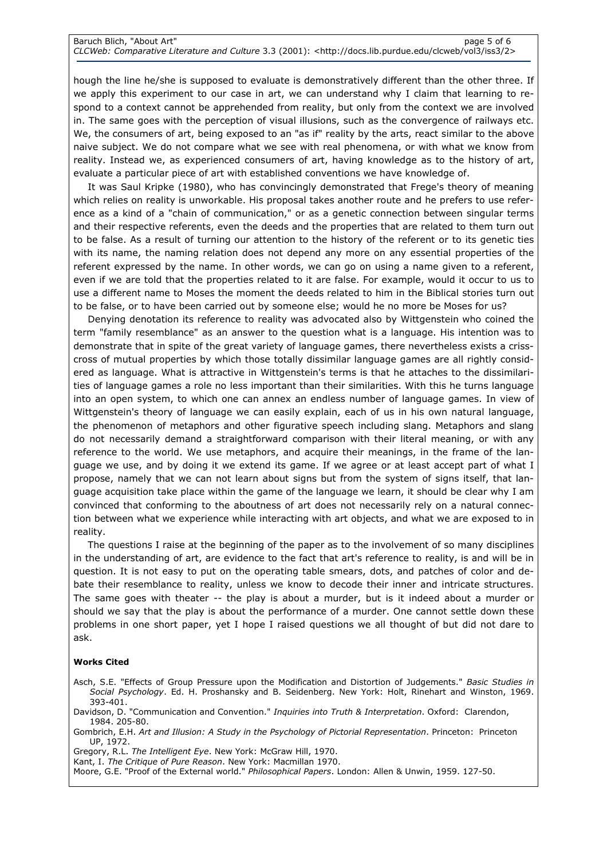hough the line he/she is supposed to evaluate is demonstratively different than the other three. If we apply this experiment to our case in art, we can understand why I claim that learning to respond to a context cannot be apprehended from reality, but only from the context we are involved in. The same goes with the perception of visual illusions, such as the convergence of railways etc. We, the consumers of art, being exposed to an "as if" reality by the arts, react similar to the above naive subject. We do not compare what we see with real phenomena, or with what we know from reality. Instead we, as experienced consumers of art, having knowledge as to the history of art, evaluate a particular piece of art with established conventions we have knowledge of.

It was Saul Kripke (1980), who has convincingly demonstrated that Frege's theory of meaning which relies on reality is unworkable. His proposal takes another route and he prefers to use reference as a kind of a "chain of communication," or as a genetic connection between singular terms and their respective referents, even the deeds and the properties that are related to them turn out to be false. As a result of turning our attention to the history of the referent or to its genetic ties with its name, the naming relation does not depend any more on any essential properties of the referent expressed by the name. In other words, we can go on using a name given to a referent, even if we are told that the properties related to it are false. For example, would it occur to us to use a different name to Moses the moment the deeds related to him in the Biblical stories turn out to be false, or to have been carried out by someone else; would he no more be Moses for us?

Denying denotation its reference to reality was advocated also by Wittgenstein who coined the term "family resemblance" as an answer to the question what is a language. His intention was to demonstrate that in spite of the great variety of language games, there nevertheless exists a crisscross of mutual properties by which those totally dissimilar language games are all rightly considered as language. What is attractive in Wittgenstein's terms is that he attaches to the dissimilarities of language games a role no less important than their similarities. With this he turns language into an open system, to which one can annex an endless number of language games. In view of Wittgenstein's theory of language we can easily explain, each of us in his own natural language, the phenomenon of metaphors and other figurative speech including slang. Metaphors and slang do not necessarily demand a straightforward comparison with their literal meaning, or with any reference to the world. We use metaphors, and acquire their meanings, in the frame of the language we use, and by doing it we extend its game. If we agree or at least accept part of what I propose, namely that we can not learn about signs but from the system of signs itself, that language acquisition take place within the game of the language we learn, it should be clear why I am convinced that conforming to the aboutness of art does not necessarily rely on a natural connection between what we experience while interacting with art objects, and what we are exposed to in reality.

The questions I raise at the beginning of the paper as to the involvement of so many disciplines in the understanding of art, are evidence to the fact that art's reference to reality, is and will be in question. It is not easy to put on the operating table smears, dots, and patches of color and debate their resemblance to reality, unless we know to decode their inner and intricate structures. The same goes with theater -- the play is about a murder, but is it indeed about a murder or should we say that the play is about the performance of a murder. One cannot settle down these problems in one short paper, yet I hope I raised questions we all thought of but did not dare to ask.

### Works Cited

- Asch, S.E. "Effects of Group Pressure upon the Modification and Distortion of Judgements." Basic Studies in Social Psychology. Ed. H. Proshansky and B. Seidenberg. New York: Holt, Rinehart and Winston, 1969. 393-401.
- Davidson, D. "Communication and Convention." Inquiries into Truth & Interpretation. Oxford: Clarendon, 1984. 205-80.
- Gombrich, E.H. Art and Illusion: A Study in the Psychology of Pictorial Representation. Princeton: Princeton UP, 1972.

Gregory, R.L. The Intelligent Eye. New York: McGraw Hill, 1970.

Kant, I. The Critique of Pure Reason. New York: Macmillan 1970.

Moore, G.E. "Proof of the External world." Philosophical Papers. London: Allen & Unwin, 1959. 127-50.